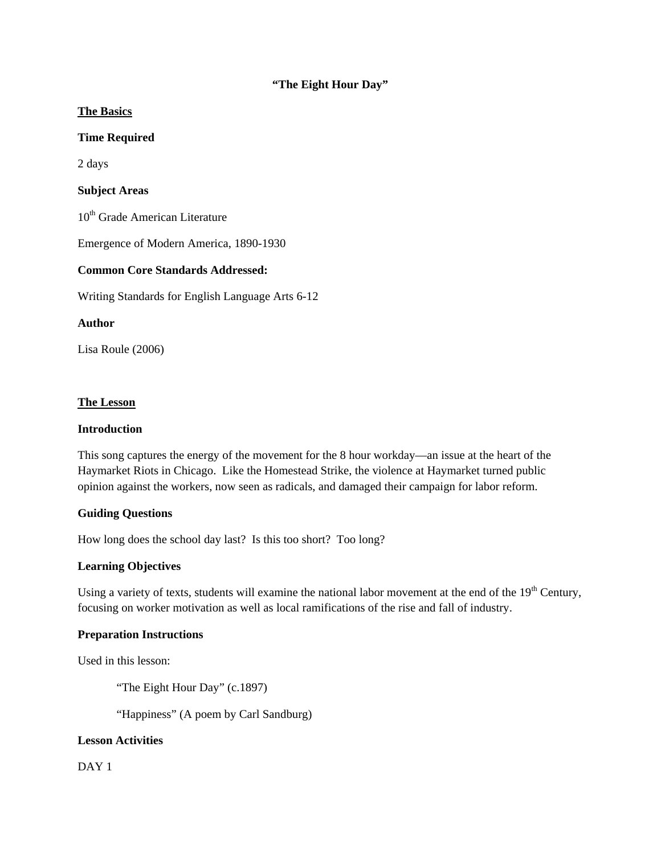## **"The Eight Hour Day"**

### **The Basics**

### **Time Required**

2 days

### **Subject Areas**

10<sup>th</sup> Grade American Literature

Emergence of Modern America, 1890-1930

#### **Common Core Standards Addressed:**

Writing Standards for English Language Arts 6-12

### **Author**

Lisa Roule (2006)

#### **The Lesson**

#### **Introduction**

This song captures the energy of the movement for the 8 hour workday—an issue at the heart of the Haymarket Riots in Chicago. Like the Homestead Strike, the violence at Haymarket turned public opinion against the workers, now seen as radicals, and damaged their campaign for labor reform.

## **Guiding Questions**

How long does the school day last? Is this too short? Too long?

## **Learning Objectives**

Using a variety of texts, students will examine the national labor movement at the end of the 19<sup>th</sup> Century, focusing on worker motivation as well as local ramifications of the rise and fall of industry.

## **Preparation Instructions**

Used in this lesson:

"The Eight Hour Day" (c.1897)

"Happiness" (A poem by Carl Sandburg)

## **Lesson Activities**

DAY<sub>1</sub>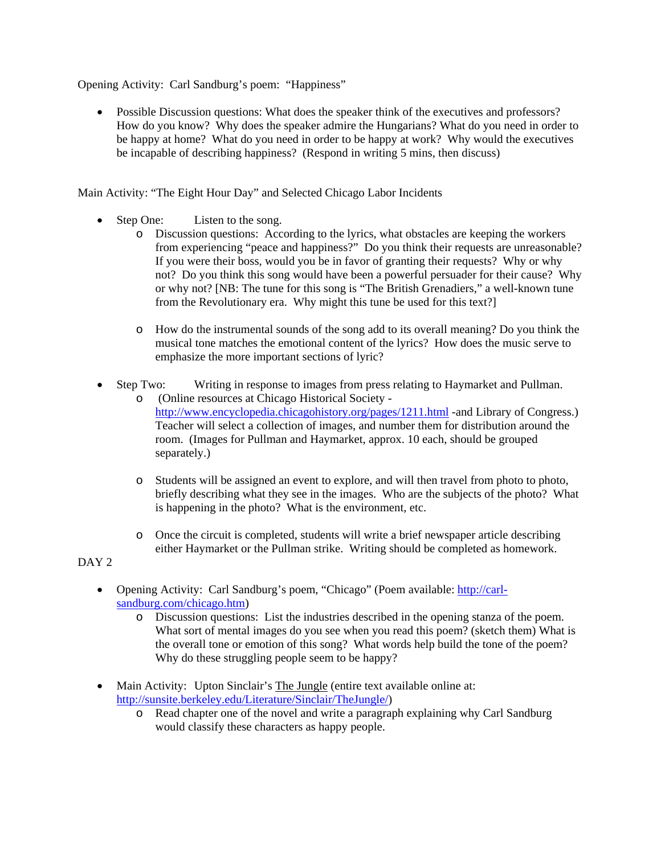Opening Activity: Carl Sandburg's poem: "Happiness"

• Possible Discussion questions: What does the speaker think of the executives and professors? How do you know? Why does the speaker admire the Hungarians? What do you need in order to be happy at home? What do you need in order to be happy at work? Why would the executives be incapable of describing happiness? (Respond in writing 5 mins, then discuss)

Main Activity: "The Eight Hour Day" and Selected Chicago Labor Incidents

- Step One: Listen to the song.
	- o Discussion questions: According to the lyrics, what obstacles are keeping the workers from experiencing "peace and happiness?" Do you think their requests are unreasonable? If you were their boss, would you be in favor of granting their requests? Why or why not? Do you think this song would have been a powerful persuader for their cause? Why or why not? [NB: The tune for this song is "The British Grenadiers," a well-known tune from the Revolutionary era. Why might this tune be used for this text?]
	- o How do the instrumental sounds of the song add to its overall meaning? Do you think the musical tone matches the emotional content of the lyrics? How does the music serve to emphasize the more important sections of lyric?
- Step Two: Writing in response to images from press relating to Haymarket and Pullman.
	- o (Online resources at Chicago Historical Society http://www.encyclopedia.chicagohistory.org/pages/1211.html -and Library of Congress.) Teacher will select a collection of images, and number them for distribution around the room. (Images for Pullman and Haymarket, approx. 10 each, should be grouped separately.)
	- o Students will be assigned an event to explore, and will then travel from photo to photo, briefly describing what they see in the images. Who are the subjects of the photo? What is happening in the photo? What is the environment, etc.
	- o Once the circuit is completed, students will write a brief newspaper article describing either Haymarket or the Pullman strike. Writing should be completed as homework.

## DAY<sub>2</sub>

- Opening Activity: Carl Sandburg's poem, "Chicago" (Poem available: http://carlsandburg.com/chicago.htm)
	- o Discussion questions: List the industries described in the opening stanza of the poem. What sort of mental images do you see when you read this poem? (sketch them) What is the overall tone or emotion of this song? What words help build the tone of the poem? Why do these struggling people seem to be happy?
- Main Activity: Upton Sinclair's The Jungle (entire text available online at: http://sunsite.berkeley.edu/Literature/Sinclair/TheJungle/)
	- o Read chapter one of the novel and write a paragraph explaining why Carl Sandburg would classify these characters as happy people.